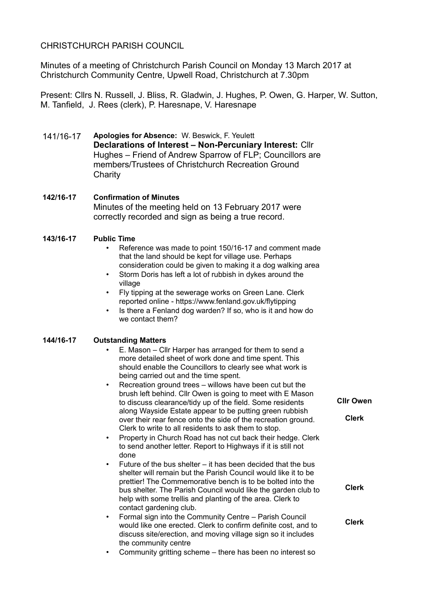# CHRISTCHURCH PARISH COUNCIL

Minutes of a meeting of Christchurch Parish Council on Monday 13 March 2017 at Christchurch Community Centre, Upwell Road, Christchurch at 7.30pm

Present: Cllrs N. Russell, J. Bliss, R. Gladwin, J. Hughes, P. Owen, G. Harper, W. Sutton, M. Tanfield, J. Rees (clerk), P. Haresnape, V. Haresnape

- 141/16-17 **Apologies for Absence:** W. Beswick, F. Yeulett **Declarations of Interest – Non-Percuniary Interest:** Cllr Hughes – Friend of Andrew Sparrow of FLP; Councillors are members/Trustees of Christchurch Recreation Ground **Charity**
- **142/16-17 Confirmation of Minutes**  Minutes of the meeting held on 13 February 2017 were correctly recorded and sign as being a true record.
- **143/16-17 Public Time**
	- Reference was made to point 150/16-17 and comment made that the land should be kept for village use. Perhaps consideration could be given to making it a dog walking area
	- Storm Doris has left a lot of rubbish in dykes around the village
	- Fly tipping at the sewerage works on Green Lane. Clerk reported online - https://www.fenland.gov.uk/flytipping
	- Is there a Fenland dog warden? If so, who is it and how do we contact them?

#### **144/16-17 Outstanding Matters**

- E. Mason Cllr Harper has arranged for them to send a more detailed sheet of work done and time spent. This should enable the Councillors to clearly see what work is being carried out and the time spent.
- Recreation ground trees willows have been cut but the brush left behind. Cllr Owen is going to meet with E Mason to discuss clearance/tidy up of the field. Some residents along Wayside Estate appear to be putting green rubbish over their rear fence onto the side of the recreation ground. Clerk to write to all residents to ask them to stop.

**Cllr Owen**

**Clerk**

**Clerk**

**Clerk**

- Property in Church Road has not cut back their hedge. Clerk to send another letter. Report to Highways if it is still not done
- Future of the bus shelter it has been decided that the bus shelter will remain but the Parish Council would like it to be prettier! The Commemorative bench is to be bolted into the bus shelter. The Parish Council would like the garden club to help with some trellis and planting of the area. Clerk to contact gardening club.
- Formal sign into the Community Centre Parish Council would like one erected. Clerk to confirm definite cost, and to discuss site/erection, and moving village sign so it includes the community centre
- Community gritting scheme there has been no interest so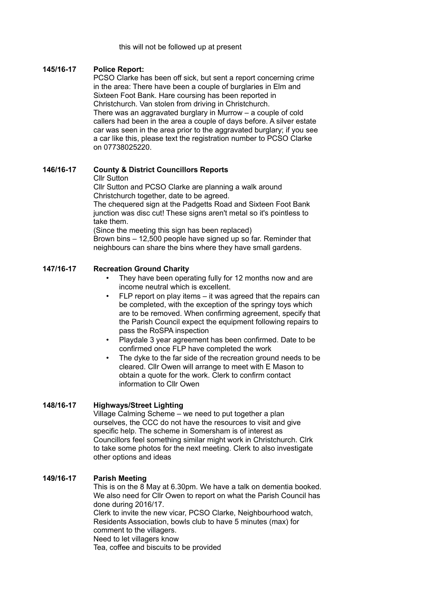#### this will not be followed up at present

### **145/16-17 Police Report:**

PCSO Clarke has been off sick, but sent a report concerning crime in the area: There have been a couple of burglaries in Elm and Sixteen Foot Bank. Hare coursing has been reported in Christchurch. Van stolen from driving in Christchurch. There was an aggravated burglary in Murrow – a couple of cold callers had been in the area a couple of days before. A silver estate car was seen in the area prior to the aggravated burglary; if you see a car like this, please text the registration number to PCSO Clarke on 07738025220.

### **146/16-17 County & District Councillors Reports**

Cllr Sutton

Cllr Sutton and PCSO Clarke are planning a walk around Christchurch together, date to be agreed.

The chequered sign at the Padgetts Road and Sixteen Foot Bank junction was disc cut! These signs aren't metal so it's pointless to take them.

(Since the meeting this sign has been replaced)

Brown bins – 12,500 people have signed up so far. Reminder that neighbours can share the bins where they have small gardens.

## **147/16-17 Recreation Ground Charity**

- They have been operating fully for 12 months now and are income neutral which is excellent.
- FLP report on play items it was agreed that the repairs can be completed, with the exception of the springy toys which are to be removed. When confirming agreement, specify that the Parish Council expect the equipment following repairs to pass the RoSPA inspection
- Playdale 3 year agreement has been confirmed. Date to be confirmed once FLP have completed the work
- The dyke to the far side of the recreation ground needs to be cleared. Cllr Owen will arrange to meet with E Mason to obtain a quote for the work. Clerk to confirm contact information to Cllr Owen

### **148/16-17 Highways/Street Lighting**

Village Calming Scheme – we need to put together a plan ourselves, the CCC do not have the resources to visit and give specific help. The scheme in Somersham is of interest as Councillors feel something similar might work in Christchurch. Clrk to take some photos for the next meeting. Clerk to also investigate other options and ideas

#### **149/16-17 Parish Meeting**

This is on the 8 May at 6.30pm. We have a talk on dementia booked. We also need for Cllr Owen to report on what the Parish Council has done during 2016/17. Clerk to invite the new vicar, PCSO Clarke, Neighbourhood watch, Residents Association, bowls club to have 5 minutes (max) for comment to the villagers. Need to let villagers know

Tea, coffee and biscuits to be provided